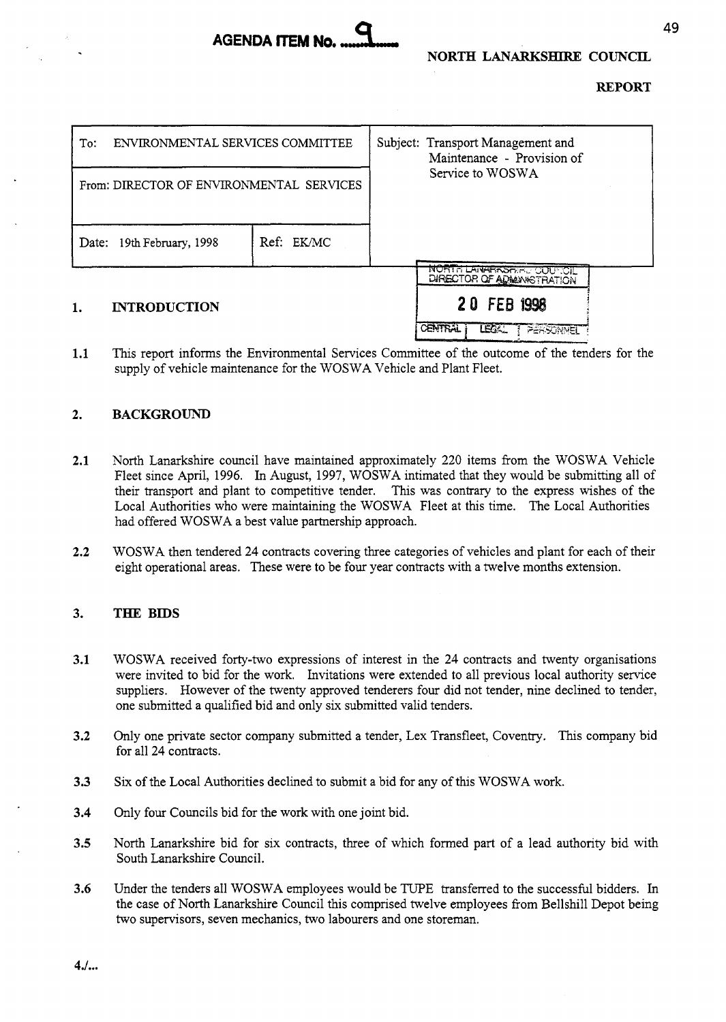

# **REPORT**

| ENVIRONMENTAL SERVICES COMMITTEE<br>To:  |            | Subject: Transport Management and<br>Maintenance - Provision of |  |
|------------------------------------------|------------|-----------------------------------------------------------------|--|
| From: DIRECTOR OF ENVIRONMENTAL SERVICES |            | Service to WOSWA                                                |  |
| Date: 19th February, 1998                | Ref: EK/MC |                                                                 |  |
| <b>INTRODUCTION</b><br>1.                |            | <b>MORTH LANARKSONEL COUNCIL</b><br>DIRECTOR OF ADMANSTRATION   |  |
|                                          |            | 20 FEB 1998                                                     |  |
|                                          |            | <b>CENTRAL</b><br>LE X<br>PERSONNEL                             |  |

**1.1**  This report informs the Environmental Services Committee of the outcome of the tenders for the supply of vehicle maintenance for the WOSWA Vehicle and Plant Fleet.

#### **2. BACKGROUND**

- **2.1**  North Lanarkshire council have maintained approximately 220 items from the WOSWA Vehicle Fleet since April, 1996. In August, 1997, WOSWA intimated that they would be submitting all of their transport and plant to competitive tender. This was contrary to the express wishes of the Local Authorities who were maintaining the WOSWA Fleet at this time. The Local Authorities had offered WOSWA a best value partnership approach.
- **2.2**  WOSWA then tendered 24 contracts covering three categories of vehicles and plant for each of their eight operational areas. These were to be four year contracts with a twelve months extension.

#### **3. THE BIDS**

- **3.1**  WOSWA received forty-two expressions of interest in the 24 contracts and twenty organisations were invited to bid for the work. Invitations were extended to all previous local authority service suppliers. However of the twenty approved tenderers four did not tender, nine declined to tender, one submitted a qualified bid and only six submitted valid tenders.
- **3.2**  Only one private sector company submitted a tender, Lex Transfleet, Coventry. This company bid for all 24 contracts.
- **3.3**  Six of the Local Authorities declined to submit a bid for any of this WOSWA work.
- **3.4**  Only four Councils bid for the work with one joint bid.
- **3.5**  North Lanarkshire bid for six contracts, three of which formed part of a lead authority bid with South Lanarkshire Council.
- **3.6**  Under the tenders all WOSWA employees would be TUPE transferred to the successful bidders. In the case of North Lanarkshire Council this comprised twelve employees from Bellshill Depot being two supervisors, seven mechanics, two labourers and one storeman.

**4.f.** ..